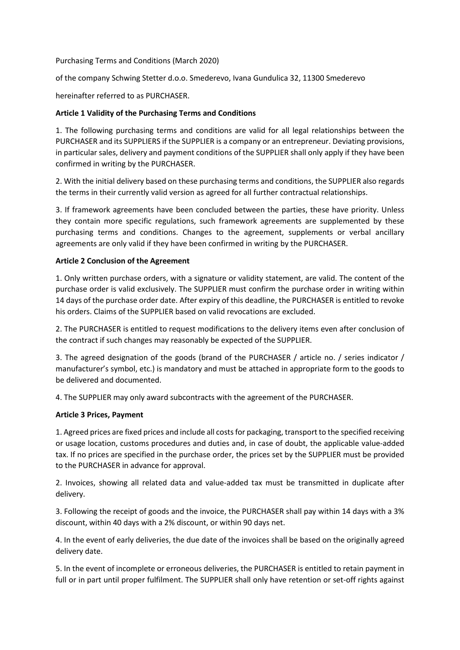Purchasing Terms and Conditions (March 2020)

of the company Schwing Stetter d.o.o. Smederevo, Ivana Gundulica 32, 11300 Smederevo

hereinafter referred to as PURCHASER.

# **Article 1 Validity of the Purchasing Terms and Conditions**

1. The following purchasing terms and conditions are valid for all legal relationships between the PURCHASER and its SUPPLIERS if the SUPPLIER is a company or an entrepreneur. Deviating provisions, in particular sales, delivery and payment conditions of the SUPPLIER shall only apply if they have been confirmed in writing by the PURCHASER.

2. With the initial delivery based on these purchasing terms and conditions, the SUPPLIER also regards the terms in their currently valid version as agreed for all further contractual relationships.

3. If framework agreements have been concluded between the parties, these have priority. Unless they contain more specific regulations, such framework agreements are supplemented by these purchasing terms and conditions. Changes to the agreement, supplements or verbal ancillary agreements are only valid if they have been confirmed in writing by the PURCHASER.

# **Article 2 Conclusion of the Agreement**

1. Only written purchase orders, with a signature or validity statement, are valid. The content of the purchase order is valid exclusively. The SUPPLIER must confirm the purchase order in writing within 14 days of the purchase order date. After expiry of this deadline, the PURCHASER is entitled to revoke his orders. Claims of the SUPPLIER based on valid revocations are excluded.

2. The PURCHASER is entitled to request modifications to the delivery items even after conclusion of the contract if such changes may reasonably be expected of the SUPPLIER.

3. The agreed designation of the goods (brand of the PURCHASER / article no. / series indicator / manufacturer's symbol, etc.) is mandatory and must be attached in appropriate form to the goods to be delivered and documented.

4. The SUPPLIER may only award subcontracts with the agreement of the PURCHASER.

#### **Article 3 Prices, Payment**

1. Agreed prices are fixed prices and include all costs for packaging, transport to the specified receiving or usage location, customs procedures and duties and, in case of doubt, the applicable value-added tax. If no prices are specified in the purchase order, the prices set by the SUPPLIER must be provided to the PURCHASER in advance for approval.

2. Invoices, showing all related data and value-added tax must be transmitted in duplicate after delivery.

3. Following the receipt of goods and the invoice, the PURCHASER shall pay within 14 days with a 3% discount, within 40 days with a 2% discount, or within 90 days net.

4. In the event of early deliveries, the due date of the invoices shall be based on the originally agreed delivery date.

5. In the event of incomplete or erroneous deliveries, the PURCHASER is entitled to retain payment in full or in part until proper fulfilment. The SUPPLIER shall only have retention or set-off rights against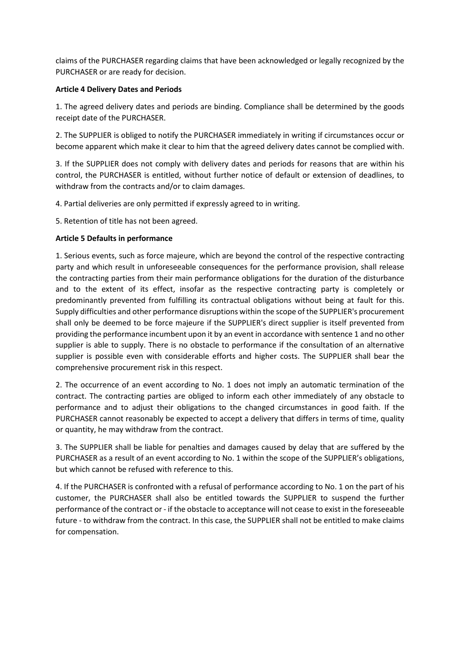claims of the PURCHASER regarding claims that have been acknowledged or legally recognized by the PURCHASER or are ready for decision.

# **Article 4 Delivery Dates and Periods**

1. The agreed delivery dates and periods are binding. Compliance shall be determined by the goods receipt date of the PURCHASER.

2. The SUPPLIER is obliged to notify the PURCHASER immediately in writing if circumstances occur or become apparent which make it clear to him that the agreed delivery dates cannot be complied with.

3. If the SUPPLIER does not comply with delivery dates and periods for reasons that are within his control, the PURCHASER is entitled, without further notice of default or extension of deadlines, to withdraw from the contracts and/or to claim damages.

4. Partial deliveries are only permitted if expressly agreed to in writing.

5. Retention of title has not been agreed.

# **Article 5 Defaults in performance**

1. Serious events, such as force majeure, which are beyond the control of the respective contracting party and which result in unforeseeable consequences for the performance provision, shall release the contracting parties from their main performance obligations for the duration of the disturbance and to the extent of its effect, insofar as the respective contracting party is completely or predominantly prevented from fulfilling its contractual obligations without being at fault for this. Supply difficulties and other performance disruptions within the scope of the SUPPLIER's procurement shall only be deemed to be force majeure if the SUPPLIER's direct supplier is itself prevented from providing the performance incumbent upon it by an event in accordance with sentence 1 and no other supplier is able to supply. There is no obstacle to performance if the consultation of an alternative supplier is possible even with considerable efforts and higher costs. The SUPPLIER shall bear the comprehensive procurement risk in this respect.

2. The occurrence of an event according to No. 1 does not imply an automatic termination of the contract. The contracting parties are obliged to inform each other immediately of any obstacle to performance and to adjust their obligations to the changed circumstances in good faith. If the PURCHASER cannot reasonably be expected to accept a delivery that differs in terms of time, quality or quantity, he may withdraw from the contract.

3. The SUPPLIER shall be liable for penalties and damages caused by delay that are suffered by the PURCHASER as a result of an event according to No. 1 within the scope of the SUPPLIER's obligations, but which cannot be refused with reference to this.

4. If the PURCHASER is confronted with a refusal of performance according to No. 1 on the part of his customer, the PURCHASER shall also be entitled towards the SUPPLIER to suspend the further performance of the contract or - if the obstacle to acceptance will not cease to exist in the foreseeable future - to withdraw from the contract. In this case, the SUPPLIER shall not be entitled to make claims for compensation.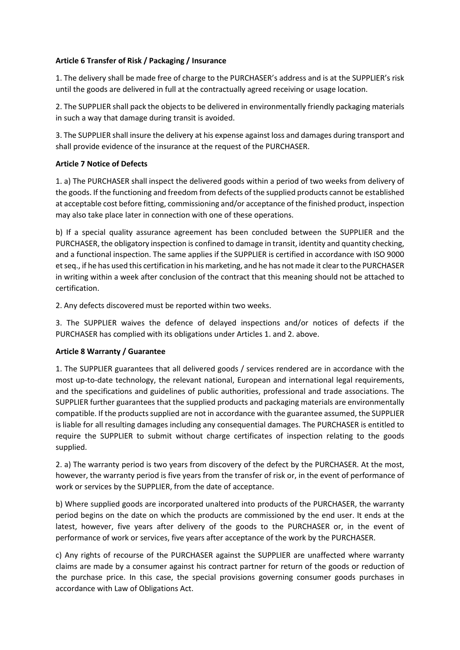# **Article 6 Transfer of Risk / Packaging / Insurance**

1. The delivery shall be made free of charge to the PURCHASER's address and is at the SUPPLIER's risk until the goods are delivered in full at the contractually agreed receiving or usage location.

2. The SUPPLIER shall pack the objects to be delivered in environmentally friendly packaging materials in such a way that damage during transit is avoided.

3. The SUPPLIER shall insure the delivery at his expense against loss and damages during transport and shall provide evidence of the insurance at the request of the PURCHASER.

# **Article 7 Notice of Defects**

1. a) The PURCHASER shall inspect the delivered goods within a period of two weeks from delivery of the goods. If the functioning and freedom from defects of the supplied products cannot be established at acceptable cost before fitting, commissioning and/or acceptance of the finished product, inspection may also take place later in connection with one of these operations.

b) If a special quality assurance agreement has been concluded between the SUPPLIER and the PURCHASER, the obligatory inspection is confined to damage in transit, identity and quantity checking, and a functional inspection. The same applies if the SUPPLIER is certified in accordance with ISO 9000 et seq., if he has used this certification in his marketing, and he has not made it clear to the PURCHASER in writing within a week after conclusion of the contract that this meaning should not be attached to certification.

2. Any defects discovered must be reported within two weeks.

3. The SUPPLIER waives the defence of delayed inspections and/or notices of defects if the PURCHASER has complied with its obligations under Articles 1. and 2. above.

# **Article 8 Warranty / Guarantee**

1. The SUPPLIER guarantees that all delivered goods / services rendered are in accordance with the most up-to-date technology, the relevant national, European and international legal requirements, and the specifications and guidelines of public authorities, professional and trade associations. The SUPPLIER further guarantees that the supplied products and packaging materials are environmentally compatible. If the products supplied are not in accordance with the guarantee assumed, the SUPPLIER is liable for all resulting damages including any consequential damages. The PURCHASER is entitled to require the SUPPLIER to submit without charge certificates of inspection relating to the goods supplied.

2. a) The warranty period is two years from discovery of the defect by the PURCHASER. At the most, however, the warranty period is five years from the transfer of risk or, in the event of performance of work or services by the SUPPLIER, from the date of acceptance.

b) Where supplied goods are incorporated unaltered into products of the PURCHASER, the warranty period begins on the date on which the products are commissioned by the end user. It ends at the latest, however, five years after delivery of the goods to the PURCHASER or, in the event of performance of work or services, five years after acceptance of the work by the PURCHASER.

c) Any rights of recourse of the PURCHASER against the SUPPLIER are unaffected where warranty claims are made by a consumer against his contract partner for return of the goods or reduction of the purchase price. In this case, the special provisions governing consumer goods purchases in accordance with Law of Obligations Act.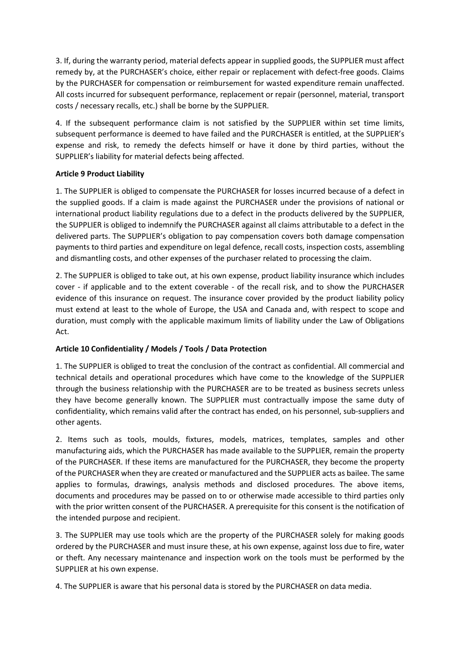3. If, during the warranty period, material defects appear in supplied goods, the SUPPLIER must affect remedy by, at the PURCHASER's choice, either repair or replacement with defect-free goods. Claims by the PURCHASER for compensation or reimbursement for wasted expenditure remain unaffected. All costs incurred for subsequent performance, replacement or repair (personnel, material, transport costs / necessary recalls, etc.) shall be borne by the SUPPLIER.

4. If the subsequent performance claim is not satisfied by the SUPPLIER within set time limits, subsequent performance is deemed to have failed and the PURCHASER is entitled, at the SUPPLIER's expense and risk, to remedy the defects himself or have it done by third parties, without the SUPPLIER's liability for material defects being affected.

# **Article 9 Product Liability**

1. The SUPPLIER is obliged to compensate the PURCHASER for losses incurred because of a defect in the supplied goods. If a claim is made against the PURCHASER under the provisions of national or international product liability regulations due to a defect in the products delivered by the SUPPLIER, the SUPPLIER is obliged to indemnify the PURCHASER against all claims attributable to a defect in the delivered parts. The SUPPLIER's obligation to pay compensation covers both damage compensation payments to third parties and expenditure on legal defence, recall costs, inspection costs, assembling and dismantling costs, and other expenses of the purchaser related to processing the claim.

2. The SUPPLIER is obliged to take out, at his own expense, product liability insurance which includes cover - if applicable and to the extent coverable - of the recall risk, and to show the PURCHASER evidence of this insurance on request. The insurance cover provided by the product liability policy must extend at least to the whole of Europe, the USA and Canada and, with respect to scope and duration, must comply with the applicable maximum limits of liability under the Law of Obligations Act.

# **Article 10 Confidentiality / Models / Tools / Data Protection**

1. The SUPPLIER is obliged to treat the conclusion of the contract as confidential. All commercial and technical details and operational procedures which have come to the knowledge of the SUPPLIER through the business relationship with the PURCHASER are to be treated as business secrets unless they have become generally known. The SUPPLIER must contractually impose the same duty of confidentiality, which remains valid after the contract has ended, on his personnel, sub-suppliers and other agents.

2. Items such as tools, moulds, fixtures, models, matrices, templates, samples and other manufacturing aids, which the PURCHASER has made available to the SUPPLIER, remain the property of the PURCHASER. If these items are manufactured for the PURCHASER, they become the property of the PURCHASER when they are created or manufactured and the SUPPLIER acts as bailee. The same applies to formulas, drawings, analysis methods and disclosed procedures. The above items, documents and procedures may be passed on to or otherwise made accessible to third parties only with the prior written consent of the PURCHASER. A prerequisite for this consent is the notification of the intended purpose and recipient.

3. The SUPPLIER may use tools which are the property of the PURCHASER solely for making goods ordered by the PURCHASER and must insure these, at his own expense, against loss due to fire, water or theft. Any necessary maintenance and inspection work on the tools must be performed by the SUPPLIER at his own expense.

4. The SUPPLIER is aware that his personal data is stored by the PURCHASER on data media.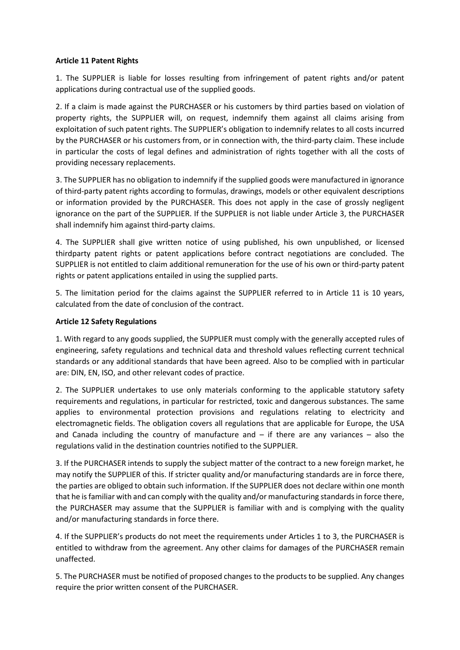### **Article 11 Patent Rights**

1. The SUPPLIER is liable for losses resulting from infringement of patent rights and/or patent applications during contractual use of the supplied goods.

2. If a claim is made against the PURCHASER or his customers by third parties based on violation of property rights, the SUPPLIER will, on request, indemnify them against all claims arising from exploitation of such patent rights. The SUPPLIER's obligation to indemnify relates to all costs incurred by the PURCHASER or his customers from, or in connection with, the third-party claim. These include in particular the costs of legal defines and administration of rights together with all the costs of providing necessary replacements.

3. The SUPPLIER has no obligation to indemnify if the supplied goods were manufactured in ignorance of third-party patent rights according to formulas, drawings, models or other equivalent descriptions or information provided by the PURCHASER. This does not apply in the case of grossly negligent ignorance on the part of the SUPPLIER. If the SUPPLIER is not liable under Article 3, the PURCHASER shall indemnify him against third-party claims.

4. The SUPPLIER shall give written notice of using published, his own unpublished, or licensed thirdparty patent rights or patent applications before contract negotiations are concluded. The SUPPLIER is not entitled to claim additional remuneration for the use of his own or third-party patent rights or patent applications entailed in using the supplied parts.

5. The limitation period for the claims against the SUPPLIER referred to in Article 11 is 10 years, calculated from the date of conclusion of the contract.

### **Article 12 Safety Regulations**

1. With regard to any goods supplied, the SUPPLIER must comply with the generally accepted rules of engineering, safety regulations and technical data and threshold values reflecting current technical standards or any additional standards that have been agreed. Also to be complied with in particular are: DIN, EN, ISO, and other relevant codes of practice.

2. The SUPPLIER undertakes to use only materials conforming to the applicable statutory safety requirements and regulations, in particular for restricted, toxic and dangerous substances. The same applies to environmental protection provisions and regulations relating to electricity and electromagnetic fields. The obligation covers all regulations that are applicable for Europe, the USA and Canada including the country of manufacture and  $-$  if there are any variances  $-$  also the regulations valid in the destination countries notified to the SUPPLIER.

3. If the PURCHASER intends to supply the subject matter of the contract to a new foreign market, he may notify the SUPPLIER of this. If stricter quality and/or manufacturing standards are in force there, the parties are obliged to obtain such information. If the SUPPLIER does not declare within one month that he is familiar with and can comply with the quality and/or manufacturing standards in force there, the PURCHASER may assume that the SUPPLIER is familiar with and is complying with the quality and/or manufacturing standards in force there.

4. If the SUPPLIER's products do not meet the requirements under Articles 1 to 3, the PURCHASER is entitled to withdraw from the agreement. Any other claims for damages of the PURCHASER remain unaffected.

5. The PURCHASER must be notified of proposed changes to the products to be supplied. Any changes require the prior written consent of the PURCHASER.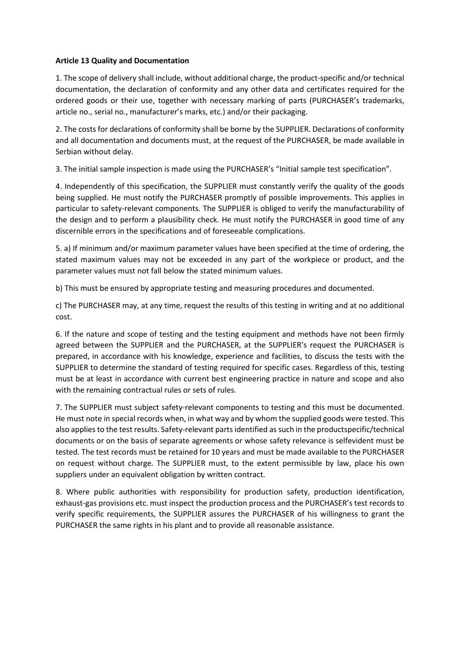### **Article 13 Quality and Documentation**

1. The scope of delivery shall include, without additional charge, the product-specific and/or technical documentation, the declaration of conformity and any other data and certificates required for the ordered goods or their use, together with necessary marking of parts (PURCHASER's trademarks, article no., serial no., manufacturer's marks, etc.) and/or their packaging.

2. The costs for declarations of conformity shall be borne by the SUPPLIER. Declarations of conformity and all documentation and documents must, at the request of the PURCHASER, be made available in Serbian without delay.

3. The initial sample inspection is made using the PURCHASER's "Initial sample test specification".

4. Independently of this specification, the SUPPLIER must constantly verify the quality of the goods being supplied. He must notify the PURCHASER promptly of possible improvements. This applies in particular to safety-relevant components. The SUPPLIER is obliged to verify the manufacturability of the design and to perform a plausibility check. He must notify the PURCHASER in good time of any discernible errors in the specifications and of foreseeable complications.

5. a) If minimum and/or maximum parameter values have been specified at the time of ordering, the stated maximum values may not be exceeded in any part of the workpiece or product, and the parameter values must not fall below the stated minimum values.

b) This must be ensured by appropriate testing and measuring procedures and documented.

c) The PURCHASER may, at any time, request the results of this testing in writing and at no additional cost.

6. If the nature and scope of testing and the testing equipment and methods have not been firmly agreed between the SUPPLIER and the PURCHASER, at the SUPPLIER's request the PURCHASER is prepared, in accordance with his knowledge, experience and facilities, to discuss the tests with the SUPPLIER to determine the standard of testing required for specific cases. Regardless of this, testing must be at least in accordance with current best engineering practice in nature and scope and also with the remaining contractual rules or sets of rules.

7. The SUPPLIER must subject safety-relevant components to testing and this must be documented. He must note in special records when, in what way and by whom the supplied goods were tested. This also applies to the test results. Safety-relevant parts identified as such in the productspecific/technical documents or on the basis of separate agreements or whose safety relevance is selfevident must be tested. The test records must be retained for 10 years and must be made available to the PURCHASER on request without charge. The SUPPLIER must, to the extent permissible by law, place his own suppliers under an equivalent obligation by written contract.

8. Where public authorities with responsibility for production safety, production identification, exhaust-gas provisions etc. must inspect the production process and the PURCHASER's test records to verify specific requirements, the SUPPLIER assures the PURCHASER of his willingness to grant the PURCHASER the same rights in his plant and to provide all reasonable assistance.